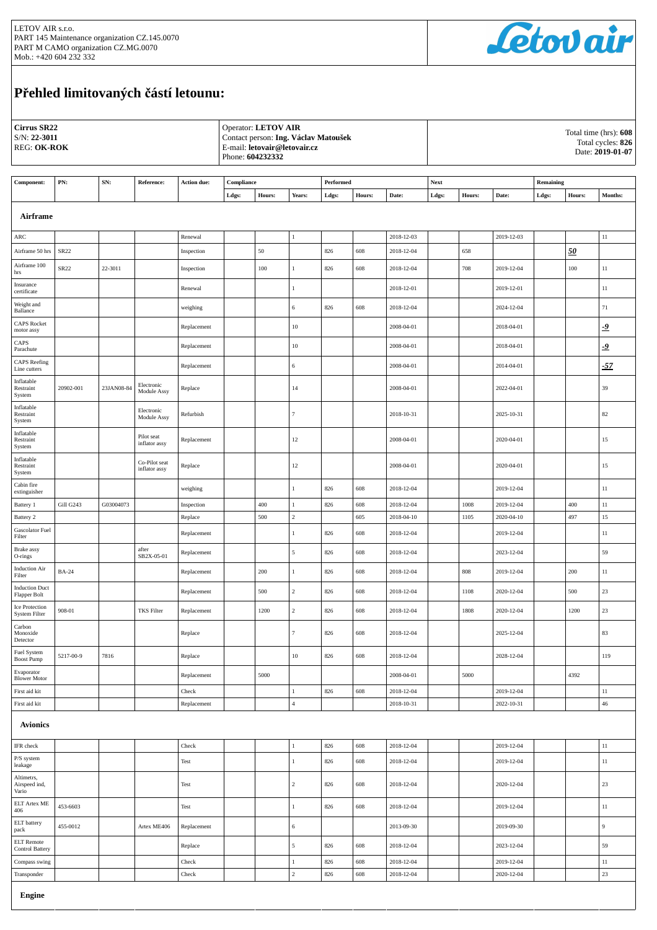

## **Přehled limitovaných částí letounu:**

| Cirrus SR22<br>$S/N: 22-3011$<br><b>REG: OK-ROK</b> |              |            |                                |                        | Operator: LETOV AIR<br>Contact person: Ing. Václav Matoušek<br>E-mail: letovair@letovair.cz<br>Phone: 604232332 |         |                                |            |            |                          | Total time (hrs): 608<br>Total cycles: 826<br>Date: 2019-01-07 |        |                          |           |         |                  |
|-----------------------------------------------------|--------------|------------|--------------------------------|------------------------|-----------------------------------------------------------------------------------------------------------------|---------|--------------------------------|------------|------------|--------------------------|----------------------------------------------------------------|--------|--------------------------|-----------|---------|------------------|
| Component:                                          | PN:          | SN:        | Reference:                     | Action due:            | Compliance                                                                                                      |         |                                | Performed  |            |                          | <b>Next</b>                                                    |        |                          | Remaining |         |                  |
|                                                     |              |            |                                |                        | Ldgs:                                                                                                           | Hours:  | Years:                         | Ldgs:      | Hours:     | Date:                    | Ldgs:                                                          | Hours: | Date:                    | Ldgs:     | Hours:  | Months:          |
|                                                     | Airframe     |            |                                |                        |                                                                                                                 |         |                                |            |            |                          |                                                                |        |                          |           |         |                  |
| ARC                                                 |              |            |                                | Renewal                |                                                                                                                 |         | 1                              |            |            | 2018-12-03               |                                                                |        | 2019-12-03               |           |         | $11\,$           |
| Airframe 50 hrs                                     | SR22         |            |                                | Inspection             |                                                                                                                 | 50      |                                | 826        | 608        | 2018-12-04               |                                                                | 658    |                          |           | 50      |                  |
| Airframe 100<br>hrs                                 | SR22         | 22-3011    |                                | Inspection             |                                                                                                                 | $100\,$ | $\mathbf{1}$                   | 826        | 608        | 2018-12-04               |                                                                | 708    | 2019-12-04               |           | $100\,$ | $11\,$           |
| Insurance<br>certificate                            |              |            |                                | Renewal                |                                                                                                                 |         | $\mathbf{1}$                   |            |            | 2018-12-01               |                                                                |        | 2019-12-01               |           |         | $11\,$           |
| Weight and<br>Ballance                              |              |            |                                | weighing               |                                                                                                                 |         | 6                              | 826        | 608        | 2018-12-04               |                                                                |        | 2024-12-04               |           |         | 71               |
| <b>CAPS Rocket</b><br>motor assy                    |              |            |                                | Replacement            |                                                                                                                 |         | $10\,$                         |            |            | 2008-04-01               |                                                                |        | 2018-04-01               |           |         | $-9$             |
| CAPS<br>Parachute                                   |              |            |                                | Replacement            |                                                                                                                 |         | $10\,$                         |            |            | 2008-04-01               |                                                                |        | 2018-04-01               |           |         | $-9$             |
| <b>CAPS</b> Reefing<br>Line cutters                 |              |            |                                | Replacement            |                                                                                                                 |         | $\,$ 6 $\,$                    |            |            | 2008-04-01               |                                                                |        | 2014-04-01               |           |         | $-57$            |
| Inflatable<br>Restraint<br>System                   | 20902-001    | 23JAN08-84 | Electronic<br>Module Assy      | Replace                |                                                                                                                 |         | 14                             |            |            | 2008-04-01               |                                                                |        | 2022-04-01               |           |         | 39               |
| Inflatable<br>Restraint<br>System                   |              |            | Electronic<br>Module Assy      | Refurbish              |                                                                                                                 |         | $\tau$                         |            |            | 2018-10-31               |                                                                |        | 2025-10-31               |           |         | 82               |
| Inflatable<br>Restraint<br>System                   |              |            | Pilot seat<br>inflator assy    | Replacement            |                                                                                                                 |         | 12                             |            |            | 2008-04-01               |                                                                |        | 2020-04-01               |           |         | 15               |
| Inflatable<br>Restraint<br>System                   |              |            | Co-Pilot seat<br>inflator assy | Replace                |                                                                                                                 |         | $12\,$                         |            |            | 2008-04-01               |                                                                |        | 2020-04-01               |           |         | 15               |
| Cabin fire<br>extinguisher                          |              |            |                                | weighing               |                                                                                                                 |         | $\mathbf{1}$                   | 826        | 608        | 2018-12-04               |                                                                |        | 2019-12-04               |           |         | $11\,$           |
| Battery 1                                           | Gill G243    | G03004073  |                                | Inspection             |                                                                                                                 | 400     | $\,1$                          | 826        | 608        | 2018-12-04               |                                                                | 1008   | 2019-12-04               |           | 400     | $11\,$           |
| Battery 2<br>Gascolator Fuel                        |              |            |                                | Replace<br>Replacement |                                                                                                                 | 500     | $\,2\,$<br>$\mathbf{1}$        | 826        | 605<br>608 | 2018-04-10<br>2018-12-04 |                                                                | 1105   | 2020-04-10<br>2019-12-04 |           | 497     | 15<br>$11\,$     |
| Filter<br>Brake assy                                |              |            | after                          | Replacement            |                                                                                                                 |         | $\sqrt{5}$                     | 826        | 608        | 2018-12-04               |                                                                |        | 2023-12-04               |           |         | 59               |
| O-rings<br><b>Induction Air</b>                     | <b>BA-24</b> |            | SB2X-05-01                     | Replacement            |                                                                                                                 | 200     | $\mathbf{1}$                   | 826        | 608        | 2018-12-04               |                                                                | 808    | 2019-12-04               |           | 200     | $11\,$           |
| Filter<br><b>Induction Duct</b>                     |              |            |                                | Replacement            |                                                                                                                 | 500     | $\sqrt{2}$                     | 826        | 608        | 2018-12-04               |                                                                | 1108   | 2020-12-04               |           | 500     | 23               |
| Flapper Bolt<br>Ice Protection                      |              |            |                                |                        |                                                                                                                 |         |                                |            |            |                          |                                                                |        | 2020-12-04               |           |         |                  |
| <b>System Filter</b><br>Carbon<br>Monoxide          | 908-01       |            | <b>TKS</b> Filter              | Replacement<br>Replace |                                                                                                                 | 1200    | $\overline{2}$<br>$\tau$       | 826<br>826 | 608<br>608 | 2018-12-04<br>2018-12-04 |                                                                | 1808   | 2025-12-04               |           | 1200    | 23<br>83         |
| Detector<br>Fuel System                             |              |            |                                |                        |                                                                                                                 |         |                                |            |            |                          |                                                                |        |                          |           |         |                  |
| <b>Boost Pump</b><br>Evaporator                     | 5217-00-9    | 7816       |                                | Replace                |                                                                                                                 |         | $10\,$                         | 826        | 608        | 2018-12-04               |                                                                |        | 2028-12-04               |           |         | 119              |
| <b>Blower Motor</b>                                 |              |            |                                | Replacement            |                                                                                                                 | 5000    |                                |            |            | 2008-04-01               |                                                                | 5000   |                          |           | 4392    |                  |
| First aid kit<br>First aid kit                      |              |            |                                | Check<br>Replacement   |                                                                                                                 |         | $\mathbf{1}$<br>$\overline{4}$ | 826        | 608        | 2018-12-04<br>2018-10-31 |                                                                |        | 2019-12-04<br>2022-10-31 |           |         | $11\,$<br>$46\,$ |
| <b>Avionics</b>                                     |              |            |                                |                        |                                                                                                                 |         |                                |            |            |                          |                                                                |        |                          |           |         |                  |
| IFR check                                           |              |            |                                | Check                  |                                                                                                                 |         | 1                              | 826        | 608        | 2018-12-04               |                                                                |        | 2019-12-04               |           |         | $11\,$           |
| P/S system<br>leakage                               |              |            |                                | Test                   |                                                                                                                 |         | $\mathbf{1}$                   | 826        | 608        | 2018-12-04               |                                                                |        | 2019-12-04               |           |         | $11\,$           |
| Altimetrs,<br>Airspeed ind,<br>Vario                |              |            |                                | Test                   |                                                                                                                 |         | $\overline{c}$                 | 826        | 608        | 2018-12-04               |                                                                |        | 2020-12-04               |           |         | 23               |
| ELT Artex ME<br>406                                 | 453-6603     |            |                                | Test                   |                                                                                                                 |         | $\mathbf{1}$                   | 826        | 608        | 2018-12-04               |                                                                |        | 2019-12-04               |           |         | $11\,$           |
| ELT battery<br>pack                                 | 455-0012     |            | Artex ME406                    | Replacement            |                                                                                                                 |         | $\sqrt{6}$                     |            |            | 2013-09-30               |                                                                |        | 2019-09-30               |           |         | 9                |
| <b>ELT</b> Remote<br>Control Battery                |              |            |                                | Replace                |                                                                                                                 |         | 5                              | 826        | 608        | 2018-12-04               |                                                                |        | 2023-12-04               |           |         | 59               |
| Compass swing                                       |              |            |                                | Check                  |                                                                                                                 |         | $\mathbf{1}$                   | 826        | 608        | 2018-12-04               |                                                                |        | 2019-12-04               |           |         | $11\,$           |
| Transponder                                         |              |            |                                | Check                  |                                                                                                                 |         | $\,2\,$                        | 826        | 608        | 2018-12-04               |                                                                |        | 2020-12-04               |           |         | $23\,$           |
| <b>Engine</b>                                       |              |            |                                |                        |                                                                                                                 |         |                                |            |            |                          |                                                                |        |                          |           |         |                  |